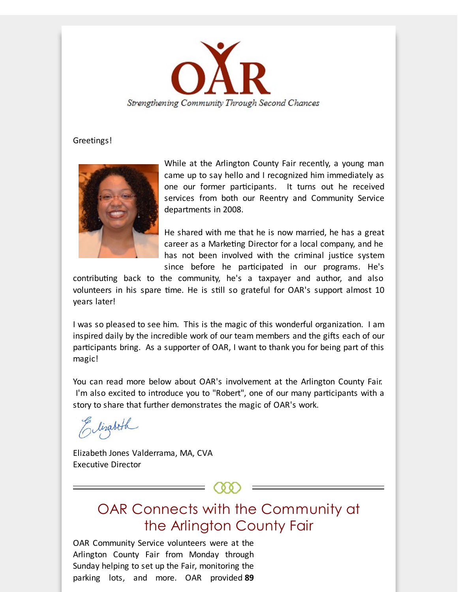

#### Greetings!



While at the Arlington County Fair recently, a young man came up to say hello and I recognized him immediately as one our former participants. It turns out he received services from both our Reentry and Community Service departments in 2008.

He shared with me that he is now married, he has a great career as a Marketing Director for a local company, and he has not been involved with the criminal justice system since before he participated in our programs. He's

contributing back to the community, he's a taxpayer and author, and also volunteers in his spare time. He is still so grateful for OAR's support almost 10 years later!

I was so pleased to see him. This is the magic of this wonderful organization. I am inspired daily by the incredible work of our team members and the gifts each of our participants bring. As a supporter of OAR, I want to thank you for being part of this magic!

You can read more below about OAR's involvement at the Arlington County Fair. I'm also excited to introduce you to "Robert", one of our many participants with a story to share that further demonstrates the magic of OAR's work.

Elizabeth

Elizabeth Jones Valderrama, MA, CVA Executive Director

> OAR Connects with the Community at the Arlington County Fair

OAR Community Service volunteers were at the Arlington County Fair from Monday through Sunday helping to set up the Fair, monitoring the parking lots, and more. OAR provided **89**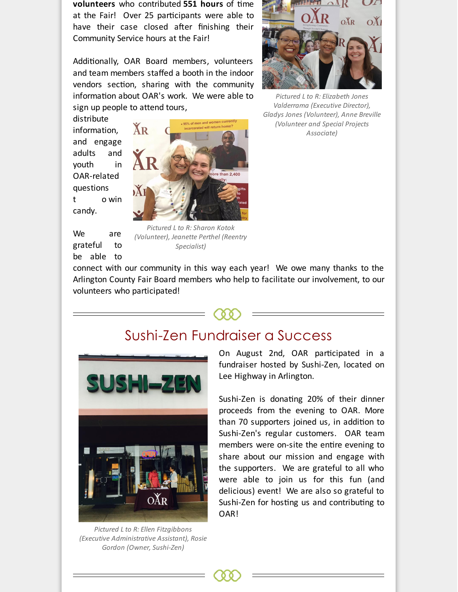**volunteers** who contributed 551 hours of time at the Fair! Over 25 participants were able to have their case closed after finishing their Community Service hours at the Fair!

Additionally, OAR Board members, volunteers and team members staffed a booth in the indoor vendors section, sharing with the community information about OAR's work. We were able to sign up people to attend tours,

distribute information, and engage adults and youth in OAR-related questions t o win candy.





*Pictured L to R: Sharon Kotok (Volunteer), Jeanette Perthel (Reentry Specialist)*



*Pictured L to R: Elizabeth Jones Valderrama (Executive Director), Gladys Jones (Volunteer), Anne Breville (Volunteer and Special Projects Associate)*

connect with our community in this way each year! We owe many thanks to the Arlington County Fair Board members who help to facilitate our involvement, to our volunteers who participated!





*Pictured L to R: Ellen Fitzgibbons (Executive Administrative Assistant), Rosie Gordon (Owner, Sushi-Zen)*

On August 2nd, OAR participated in a fundraiser hosted by Sushi-Zen, located on Lee Highway in Arlington.

Sushi-Zen is donating 20% of their dinner proceeds from the evening to OAR. More than 70 supporters joined us, in addition to Sushi-Zen's regular customers. OAR team members were on-site the entire evening to share about our mission and engage with the supporters. We are grateful to all who were able to join us for this fun (and delicious) event! We are also so grateful to Sushi-Zen for hosting us and contributing to OAR!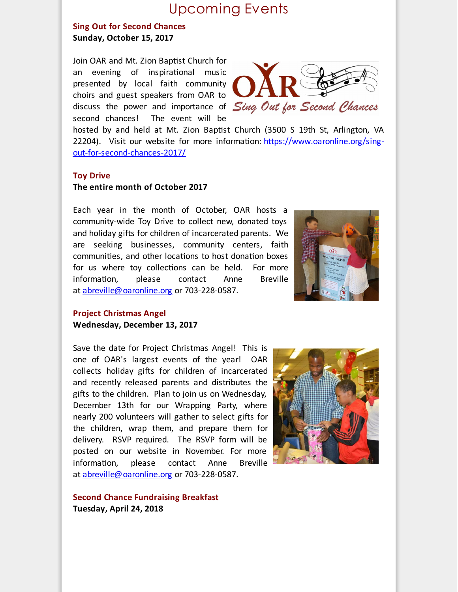## Upcoming Events

### **Sing Out for Second Chances Sunday, October 15, 2017**

Join OAR and Mt. Zion Baptist Church for an evening of inspirational music presented by local faith community choirs and guest speakers from OAR to discuss the power and importance of Sing Out for Second Chances second chances! The event will be



hosted by and held at Mt. Zion Baptist Church (3500 S 19th St, Arlington, VA 22204). Visit our website for more information: [https://www.oaronline.org/sing](http://r20.rs6.net/tn.jsp?f=001b80MnfjLJRubfT--iew9Eok2H1SN5U9N1s-DxCbXgCJ8bGUCnKwpgBWJtbPOo921s0EsSQin4kQp_8-HhJVc9KRpF6rmyFHSUgVnB4cFEDtjXVcgnlMbyJTs-oI9fL1GSpsFj4jat_8bAy9C3Q9TO_R2dKHIAS0Cbe4z6CGoFrieh5gkD-3nYzLW9OHq7g7JnMQ5HfsOBq2weuXsamNmTTxDA-jewteRG8URCu5WKh2Xwz4fNtpEIc307XIpvnVIKIUODWvZyb7E628lzmdcQOmIdnXDMAHjfnazWaxdHTD8PZETfYb_MjeuxOVDJkE-c77IZFhkFcJg_4qBSbsOHCqoepTanDNjHc5pTc-XBl4PHiiZTtyMug==&c=&ch=)out-for-second-chances-2017/

#### **Toy Drive**

#### **The entire month of October 2017**

Each year in the month of October, OAR hosts a community-wide Toy Drive to collect new, donated toys and holiday gifts for children of incarcerated parents. We are seeking businesses, community centers, faith communities, and other locations to host donation boxes for us where toy collections can be held. For more information, please contact Anne Breville at [abreville@oaronline.org](mailto:abreville@oaronline.org) or 703-228-0587.



#### **Project Christmas Angel Wednesday, December 13, 2017**

Save the date for Project Christmas Angel! This is one of OAR's largest events of the year! OAR collects holiday gifts for children of incarcerated and recently released parents and distributes the gifts to the children. Plan to join us on Wednesday, December 13th for our Wrapping Party, where nearly 200 volunteers will gather to select gifts for the children, wrap them, and prepare them for delivery. RSVP required. The RSVP form will be posted on our website in November. For more information, please contact Anne Breville at [abreville@oaronline.org](mailto:abreville@oaronline.org) or 703-228-0587.



**Second Chance Fundraising Breakfast Tuesday, April 24, 2018**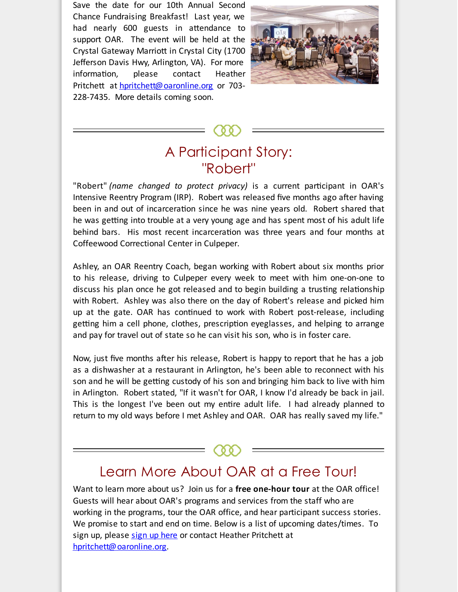Save the date for our 10th Annual Second Chance Fundraising Breakfast! Last year, we had nearly 600 guests in attendance to support OAR. The event will be held at the Crystal Gateway Marriott in Crystal City (1700 Jefferson Davis Hwy, Arlington, VA). For more information, please contact Heather Pritchett at [hpritchett@oaronline.org](mailto:hpritchett@oaronline.org) or 703-228-7435. More details coming soon.



# A Participant Story: "Robert"

"Robert" *(name changed to protect privacy)* is a current participant in OAR's Intensive Reentry Program (IRP). Robert was released five months ago after having been in and out of incarceration since he was nine years old. Robert shared that he was getting into trouble at a very young age and has spent most of his adult life behind bars. His most recent incarceration was three years and four months at Coffeewood Correctional Center in Culpeper.

Ashley, an OAR Reentry Coach, began working with Robert about six months prior to his release, driving to Culpeper every week to meet with him one-on-one to discuss his plan once he got released and to begin building a trusting relationship with Robert. Ashley was also there on the day of Robert's release and picked him up at the gate. OAR has continued to work with Robert post-release, including getting him a cell phone, clothes, prescription eyeglasses, and helping to arrange and pay for travel out of state so he can visit his son, who is in foster care.

Now, just five months after his release, Robert is happy to report that he has a job as a dishwasher at a restaurant in Arlington, he's been able to reconnect with his son and he will be getting custody of his son and bringing him back to live with him in Arlington. Robert stated, "If it wasn't for OAR, I know I'd already be back in jail. This is the longest I've been out my entire adult life. I had already planned to return to my old ways before I met Ashley and OAR. OAR has really saved my life."

# Learn More About OAR at a Free Tour!

Want to learn more about us? Join us for a **free one-hour tour** at the OAR office! Guests will hear about OAR's programs and services from the staff who are working in the programs, tour the OAR office, and hear participant success stories. We promise to start and end on time. Below is a list of upcoming dates/times. To sign up, please sign up [here](http://r20.rs6.net/tn.jsp?f=001b80MnfjLJRubfT--iew9Eok2H1SN5U9N1s-DxCbXgCJ8bGUCnKwpgKJEDDnLOMvoUJXqEAy-obFX6N7VmwDpWdusbTWFxUHrBShYd0Lw6NHTiWgBoBRDQ6hKzRiBt_TprHqzt6tia1_wm8w8rfKFDP8ZDy6c9GP7PUd2T47CL0lHyoKrLJMlCTAIMIh3djRnRV0l1895mrI1q3VOTCJFkGHQdxwlFnMKDHNGWJU7pbL-KoIiF0p-3kxdOh2WuFhTbtZzvuJ0zbpE4-ZeJw_IWv2aiArfh3f5LthiEFiZNgs7O6A_bGbGjpgTenR5lGk3LX7Gi8B2bDYGO8bBeY4EAZd22a648NorPZVgDWiTTJSuCFFN8zH29g==&c=&ch=) or contact Heather Pritchett at [hpritchett@oaronline.org](mailto:hpritchett@oaronline.org).